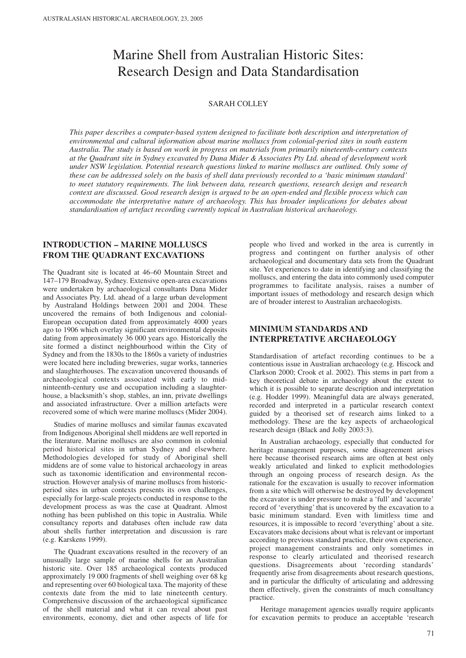# Marine Shell from Australian Historic Sites: Research Design and Data Standardisation

## SARAH COLLEY

*This paper describes a computer-based system designed to facilitate both description and interpretation of environmental and cultural information about marine molluscs from colonial-period sites in south eastern Australia. The study is based on work in progress on materials from primarily nineteenth-century contexts at the Quadrant site in Sydney excavated by Dana Mider & Associates Pty Ltd. ahead of development work under NSW legislation. Potential research questions linked to marine molluscs are outlined. Only some of these can be addressed solely on the basis of shell data previously recorded to a 'basic minimum standard' to meet statutory requirements. The link between data, research questions, research design and research context are discussed. Good research design is argued to be an open-ended and flexible process which can accommodate the interpretative nature of archaeology. This has broader implications for debates about standardisation of artefact recording currently topical in Australian historical archaeology.*

# **INTRODUCTION – MARINE MOLLUSCS FROM THE QUADRANT EXCAVATIONS**

The Quadrant site is located at 46–60 Mountain Street and 147–179 Broadway, Sydney. Extensive open-area excavations were undertaken by archaeological consultants Dana Mider and Associates Pty. Ltd. ahead of a large urban development by Australand Holdings between 2001 and 2004. These uncovered the remains of both Indigenous and colonial-European occupation dated from approximately 4000 years ago to 1906 which overlay significant environmental deposits dating from approximately 36 000 years ago. Historically the site formed a distinct neighbourhood within the City of Sydney and from the 1830s to the 1860s a variety of industries were located here including breweries, sugar works, tanneries and slaughterhouses. The excavation uncovered thousands of archaeological contexts associated with early to midninteenth-century use and occupation including a slaughterhouse, a blacksmith's shop, stables, an inn, private dwellings and associated infrastructure. Over a million artefacts were recovered some of which were marine molluscs (Mider 2004).

Studies of marine molluscs and similar faunas excavated from Indigenous Aboriginal shell middens are well reported in the literature. Marine molluscs are also common in colonial period historical sites in urban Sydney and elsewhere. Methodologies developed for study of Aboriginal shell middens are of some value to historical archaeology in areas such as taxonomic identification and environmental reconstruction. However analysis of marine molluscs from historicperiod sites in urban contexts presents its own challenges, especially for large-scale projects conducted in response to the development process as was the case at Quadrant. Almost nothing has been published on this topic in Australia. While consultancy reports and databases often include raw data about shells further interpretation and discussion is rare (e.g. Karskens 1999).

The Quadrant excavations resulted in the recovery of an unusually large sample of marine shells for an Australian historic site. Over 185 archaeological contexts produced approximately 19 000 fragments of shell weighing over 68 kg and representing over 60 biological taxa. The majority of these contexts date from the mid to late nineteenth century. Comprehensive discussion of the archaeological significance of the shell material and what it can reveal about past environments, economy, diet and other aspects of life for

people who lived and worked in the area is currently in progress and contingent on further analysis of other archaeological and documentary data sets from the Quadrant site. Yet experiences to date in identifying and classifying the molluscs, and entering the data into commonly used computer programmes to facilitate analysis, raises a number of important issues of methodology and research design which are of broader interest to Australian archaeologists.

# **MINIMUM STANDARDS AND INTERPRETATIVE ARCHAEOLOGY**

Standardisation of artefact recording continues to be a contentious issue in Australian archaeology (e.g. Hiscock and Clarkson 2000; Crook et al. 2002). This stems in part from a key theoretical debate in archaeology about the extent to which it is possible to separate description and interpretation (e.g. Hodder 1999). Meaningful data are always generated, recorded and interpreted in a particular research context guided by a theorised set of research aims linked to a methodology. These are the key aspects of archaeological research design (Black and Jolly 2003:3).

In Australian archaeology, especially that conducted for heritage management purposes, some disagreement arises here because theorised research aims are often at best only weakly articulated and linked to explicit methodologies through an ongoing process of research design. As the rationale for the excavation is usually to recover information from a site which will otherwise be destroyed by development the excavator is under pressure to make a 'full' and 'accurate' record of 'everything' that is uncovered by the excavation to a basic minimum standard. Even with limitless time and resources, it is impossible to record 'everything' about a site. Excavators make decisions about what is relevant or important according to previous standard practice, their own experience, project management constraints and only sometimes in response to clearly articulated and theorised research questions. Disagreements about 'recording standards' frequently arise from disagreements about research questions, and in particular the difficulty of articulating and addressing them effectively, given the constraints of much consultancy practice.

Heritage management agencies usually require applicants for excavation permits to produce an acceptable 'research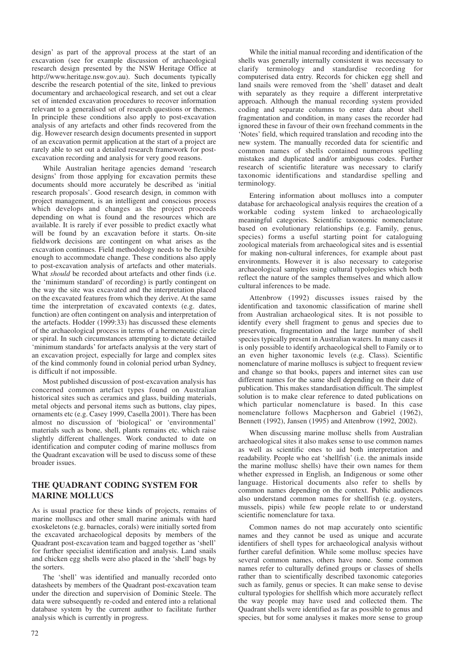design' as part of the approval process at the start of an excavation (see for example discussion of archaeological research design presented by the NSW Heritage Office at http://www.heritage.nsw.gov.au). Such documents typically describe the research potential of the site, linked to previous documentary and archaeological research, and set out a clear set of intended excavation procedures to recover information relevant to a generalised set of research questions or themes. In principle these conditions also apply to post-excavation analysis of any artefacts and other finds recovered from the dig. However research design documents presented in support of an excavation permit application at the start of a project are rarely able to set out a detailed research framework for postexcavation recording and analysis for very good reasons.

While Australian heritage agencies demand 'research designs' from those applying for excavation permits these documents should more accurately be described as 'initial research proposals'. Good research design, in common with project management, is an intelligent and conscious process which develops and changes as the project proceeds depending on what is found and the resources which are available. It is rarely if ever possible to predict exactly what will be found by an excavation before it starts. On-site fieldwork decisions are contingent on what arises as the excavation continues. Field methodology needs to be flexible enough to accommodate change. These conditions also apply to post-excavation analysis of artefacts and other materials. What *should* be recorded about artefacts and other finds (i.e. the 'minimum standard' of recording) is partly contingent on the way the site was excavated and the interpretation placed on the excavated features from which they derive. At the same time the interpretation of excavated contexts (e.g. dates, function) are often contingent on analysis and interpretation of the artefacts. Hodder (1999:33) has discussed these elements of the archaeological process in terms of a hermeneutic circle or spiral. In such circumstances attempting to dictate detailed 'minimum standards' for artefacts analysis at the very start of an excavation project, especially for large and complex sites of the kind commonly found in colonial period urban Sydney, is difficult if not impossible.

Most published discussion of post-excavation analysis has concerned common artefact types found on Australian historical sites such as ceramics and glass, building materials, metal objects and personal items such as buttons, clay pipes, ornaments etc (e.g. Casey 1999, Casella 2001). There has been almost no discussion of 'biological' or 'environmental' materials such as bone, shell, plants remains etc. which raise slightly different challenges. Work conducted to date on identification and computer coding of marine molluscs from the Quadrant excavation will be used to discuss some of these broader issues.

# **THE QUADRANT CODING SYSTEM FOR MARINE MOLLUCS**

As is usual practice for these kinds of projects, remains of marine molluscs and other small marine animals with hard exoskeletons (e.g. barnacles, corals) were initially sorted from the excavated archaeological deposits by members of the Quadrant post-excavation team and bagged together as 'shell' for further specialist identification and analysis. Land snails and chicken egg shells were also placed in the 'shell' bags by the sorters.

The 'shell' was identified and manually recorded onto datasheets by members of the Quadrant post-excavation team under the direction and supervision of Dominic Steele. The data were subsequently re-coded and entered into a relational database system by the current author to facilitate further analysis which is currently in progress.

While the initial manual recording and identification of the shells was generally internally consistent it was necessary to clarify terminology and standardise recording for computerised data entry. Records for chicken egg shell and land snails were removed from the 'shell' dataset and dealt with separately as they require a different interpretative approach. Although the manual recording system provided coding and separate columns to enter data about shell fragmentation and condition, in many cases the recorder had ignored these in favour of their own freehand comments in the 'Notes' field, which required translation and recoding into the new system. The manually recorded data for scientific and common names of shells contained numerous spelling mistakes and duplicated and/or ambiguous codes. Further research of scientific literature was necessary to clarify taxonomic identifications and standardise spelling and terminology.

Entering information about molluscs into a computer database for archaeological analysis requires the creation of a workable coding system linked to archaeologically meaningful categories. Scientific taxonomic nomenclature based on evolutionary relationships (e.g. Family, genus, species) forms a useful starting point for cataloguing zoological materials from archaeological sites and is essential for making non-cultural inferences, for example about past environments. However it is also necessary to categorise archaeological samples using cultural typologies which both reflect the nature of the samples themselves and which allow cultural inferences to be made.

Attenbrow (1992) discusses issues raised by the identification and taxonomic classification of marine shell from Australian archaeological sites. It is not possible to identify every shell fragment to genus and species due to preservation, fragmentation and the large number of shell species typically present in Australian waters. In many cases it is only possible to identify archaeological shell to Family or to an even higher taxonomic levels (e.g. Class). Scientific nomenclature of marine molluscs is subject to frequent review and change so that books, papers and internet sites can use different names for the same shell depending on their date of publication. This makes standardisation difficult. The simplest solution is to make clear reference to dated publications on which particular nomenclature is based. In this case nomenclature follows Macpherson and Gabriel (1962), Bennett (1992), Jansen (1995) and Attenbrow (1992, 2002).

When discussing marine mollusc shells from Australian archaeological sites it also makes sense to use common names as well as scientific ones to aid both interpretation and readability. People who eat 'shellfish' (i.e. the animals inside the marine mollusc shells) have their own names for them whether expressed in English, an Indigenous or some other language. Historical documents also refer to shells by common names depending on the context. Public audiences also understand common names for shellfish (e.g. oysters, mussels, pipis) while few people relate to or understand scientific nomenclature for taxa.

Common names do not map accurately onto scientific names and they cannot be used as unique and accurate identifiers of shell types for archaeological analysis without further careful definition. While some mollusc species have several common names, others have none. Some common names refer to culturally defined groups or classes of shells rather than to scientifically described taxonomic categories such as family, genus or species. It can make sense to devise cultural typologies for shellfish which more accurately reflect the way people may have used and collected them. The Quadrant shells were identified as far as possible to genus and species, but for some analyses it makes more sense to group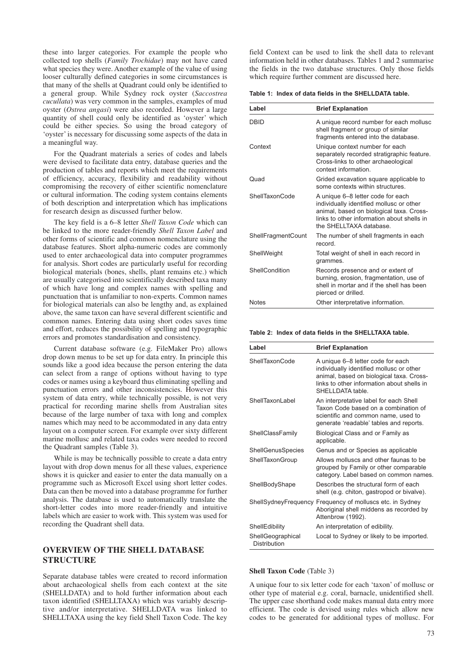these into larger categories. For example the people who collected top shells (*Family Trochidae*) may not have cared what species they were. Another example of the value of using looser culturally defined categories in some circumstances is that many of the shells at Quadrant could only be identified to a general group. While Sydney rock oyster (*Saccostrea cucullata*) was very common in the samples, examples of mud oyster (*Ostrea angasi*) were also recorded. However a large quantity of shell could only be identified as 'oyster' which could be either species. So using the broad category of 'oyster' is necessary for discussing some aspects of the data in a meaningful way.

For the Quadrant materials a series of codes and labels were devised to facilitate data entry, database queries and the production of tables and reports which meet the requirements of efficiency, accuracy, flexibility and readability without compromising the recovery of either scientific nomenclature or cultural information. The coding system contains elements of both description and interpretation which has implications for research design as discussed further below.

The key field is a 6–8 letter *Shell Taxon Code* which can be linked to the more reader-friendly *Shell Taxon Label* and other forms of scientific and common nomenclature using the database features. Short alpha-numeric codes are commonly used to enter archaeological data into computer programmes for analysis. Short codes are particularly useful for recording biological materials (bones, shells, plant remains etc.) which are usually categorised into scientifically described taxa many of which have long and complex names with spelling and punctuation that is unfamiliar to non-experts. Common names for biological materials can also be lengthy and, as explained above, the same taxon can have several different scientific and common names. Entering data using short codes saves time and effort, reduces the possibility of spelling and typographic errors and promotes standardisation and consistency.

Current database software (e.g. FileMaker Pro) allows drop down menus to be set up for data entry. In principle this sounds like a good idea because the person entering the data can select from a range of options without having to type codes or names using a keyboard thus eliminating spelling and punctuation errors and other inconsistencies. However this system of data entry, while technically possible, is not very practical for recording marine shells from Australian sites because of the large number of taxa with long and complex names which may need to be accommodated in any data entry layout on a computer screen. For example over sixty different marine mollusc and related taxa codes were needed to record the Quadrant samples (Table 3).

While is may be technically possible to create a data entry layout with drop down menus for all these values, experience shows it is quicker and easier to enter the data manually on a programme such as Microsoft Excel using short letter codes. Data can then be moved into a database programme for further analysis. The database is used to automatically translate the short-letter codes into more reader-friendly and intuitive labels which are easier to work with. This system was used for recording the Quadrant shell data.

## **OVERVIEW OF THE SHELL DATABASE STRUCTURE**

Separate database tables were created to record information about archaeological shells from each context at the site (SHELLDATA) and to hold further information about each taxon identified (SHELLTAXA) which was variably descriptive and/or interpretative. SHELLDATA was linked to SHELLTAXA using the key field Shell Taxon Code. The key

field Context can be used to link the shell data to relevant information held in other databases. Tables 1 and 2 summarise the fields in the two database structures. Only those fields which require further comment are discussed here.

**Table 1: Index of data fields in the SHELLDATA table.**

| Label                     | <b>Brief Explanation</b>                                                                                                                                                                           |
|---------------------------|----------------------------------------------------------------------------------------------------------------------------------------------------------------------------------------------------|
| DBID                      | A unique record number for each mollusc<br>shell fragment or group of similar<br>fragments entered into the database.                                                                              |
| Context                   | Unique context number for each<br>separately recorded stratigraphic feature.<br>Cross-links to other archaeological<br>context information.                                                        |
| Quad                      | Grided excavation square applicable to<br>some contexts within structures.                                                                                                                         |
| ShellTaxonCode            | A unique 6–8 letter code for each<br>individually identified mollusc or other<br>animal, based on biological taxa. Cross-<br>links to other information about shells in<br>the SHELLTAXA database. |
| <b>ShellFragmentCount</b> | The number of shell fragments in each<br>record.                                                                                                                                                   |
| ShellWeight               | Total weight of shell in each record in<br>grammes.                                                                                                                                                |
| ShellCondition            | Records presence and or extent of<br>burning, erosion, fragmentation, use of<br>shell in mortar and if the shell has been<br>pierced or drilled.                                                   |
| <b>Notes</b>              | Other interpretative information.                                                                                                                                                                  |

**Table 2: Index of data fields in the SHELLTAXA table.**

| Label                             | <b>Brief Explanation</b>                                                                                                                                                                    |
|-----------------------------------|---------------------------------------------------------------------------------------------------------------------------------------------------------------------------------------------|
| ShellTaxonCode                    | A unique 6–8 letter code for each<br>individually identified mollusc or other<br>animal, based on biological taxa. Cross-<br>links to other information about shells in<br>SHELLDATA table. |
| ShellTaxonLabel                   | An interpretative label for each Shell<br>Taxon Code based on a combination of<br>scientific and common name, used to<br>generate 'readable' tables and reports.                            |
| ShellClassFamily                  | Biological Class and or Family as<br>applicable.                                                                                                                                            |
| <b>ShellGenusSpecies</b>          | Genus and or Species as applicable                                                                                                                                                          |
| ShellTaxonGroup                   | Allows molluscs and other faunas to be<br>grouped by Family or other comparable<br>category. Label based on common names.                                                                   |
| ShellBodyShape                    | Describes the structural form of each<br>shell (e.g. chiton, gastropod or bivalve).                                                                                                         |
| ShellSydneyFrequency              | Frequency of molluscs etc. in Sydney<br>Aboriginal shell middens as recorded by<br>Attenbrow (1992).                                                                                        |
| ShellEdibility                    | An interpretation of edibility.                                                                                                                                                             |
| ShellGeographical<br>Distribution | Local to Sydney or likely to be imported.                                                                                                                                                   |

## **Shell Taxon Code** (Table 3)

A unique four to six letter code for each 'taxon' of mollusc or other type of material e.g. coral, barnacle, unidentified shell. The upper case shorthand code makes manual data entry more efficient. The code is devised using rules which allow new codes to be generated for additional types of mollusc. For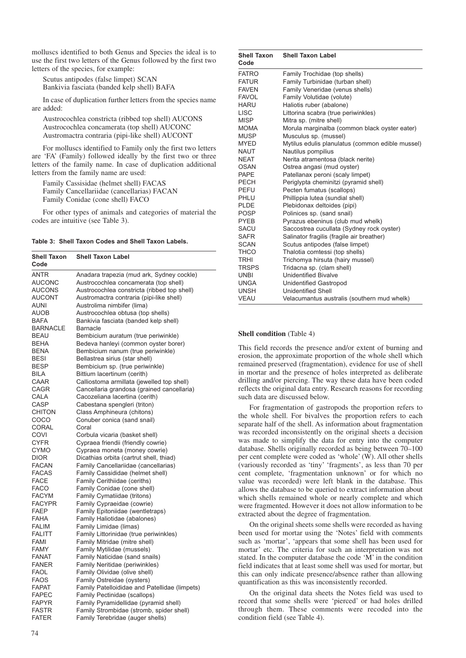molluscs identified to both Genus and Species the ideal is to use the first two letters of the Genus followed by the first two letters of the species, for example:

Scutus antipodes (false limpet) SCAN Bankivia fasciata (banded kelp shell) BAFA

In case of duplication further letters from the species name are added:

Austrocochlea constricta (ribbed top shell) AUCONS Austrocochlea concamerata (top shell) AUCONC Austromactra contraria (pipi-like shell) AUCONT

For molluscs identified to Family only the first two letters are 'FA' (Family) followed ideally by the first two or three letters of the family name. In case of duplication additional letters from the family name are used:

Family Cassisidae (helmet shell) FACAS Family Cancellariidae (cancellarias) FACAN Family Conidae (cone shell) FACO

For other types of animals and categories of material the codes are intuitive (see Table 3).

| Table 3: Shell Taxon Codes and Shell Taxon Labels. |  |  |  |  |  |  |  |
|----------------------------------------------------|--|--|--|--|--|--|--|
|----------------------------------------------------|--|--|--|--|--|--|--|

| <b>Shell Taxon</b><br>Code | <b>Shell Taxon Label</b>                      |
|----------------------------|-----------------------------------------------|
| ANTR                       | Anadara trapezia (mud ark, Sydney cockle)     |
| <b>AUCONC</b>              | Austrocochlea concamerata (top shell)         |
| AUCONS                     | Austrocochlea constricta (ribbed top shell)   |
| <b>AUCONT</b>              | Austromactra contraria (pipi-like shell)      |
| auni                       | Austrolima nimbifer (lima)                    |
| AUOB                       | Austrocochlea obtusa (top shells)             |
| <b>BAFA</b>                | Bankivia fasciata (banded kelp shell)         |
| <b>BARNACLE</b>            | <b>Barnacle</b>                               |
| BEAU                       | Bembicium auratum (true periwinkle)           |
| BEHA                       | Bedeva hanleyi (common oyster borer)          |
| BENA                       | Bembicium nanum (true periwinkle)             |
| <b>BESI</b>                | Bellastrea sirius (star shell)                |
| BESP                       | Bembicium sp. (true periwinkle)               |
| BILA                       | Bittium lacertinum (cerith)                   |
| CAAR                       | Calliostoma armillata (jewelled top shell)    |
| CAGR                       | Cancellaria grandosa (grained cancellaria)    |
| CALA                       | Cacozeliana lacertina (cerith)                |
| CASP                       | Cabestana spengleri (triton)                  |
| <b>CHITON</b>              | Class Amphineura (chitons)                    |
| COCO                       | Conuber conica (sand snail)                   |
| <b>CORAL</b>               | Coral                                         |
| COVI                       | Corbula vicaria (basket shell)                |
| CYFR                       | Cypraea friendii (friendly cowrie)            |
| <b>CYMO</b>                | Cypraea moneta (money cowrie)                 |
| <b>DIOR</b>                | Dicathias orbita (cartrut shell, thiad)       |
| <b>FACAN</b>               | Family Cancellariidae (cancellarias)          |
| <b>FACAS</b>               | Family Cassididae (helmet shell)              |
| FACE                       | Family Cerithiidae (ceriths)                  |
| <b>FACO</b>                | Family Conidae (cone shell)                   |
| FACYM                      | Family Cymatiidae (tritons)                   |
| <b>FACYPR</b>              | Family Cypraeidae (cowrie)                    |
| <b>FAEP</b>                | Family Epitoniidae (wentletraps)              |
| FAHA                       | Family Haliotidae (abalones)                  |
| FALIM                      | Family Limidae (limas)                        |
| FALITT                     | Family Littorinidae (true periwinkles)        |
| FAMI                       | Family Mitridae (mitre shell)                 |
| FAMY                       | Family Mytilidae (mussels)                    |
| FANAT                      | Family Naticidae (sand snails)                |
| <b>FANER</b>               | Family Neritidae (periwinkles)                |
| FAOL                       | Family Olividae (olive shell)                 |
| FAOS                       | Family Ostreidae (oysters)                    |
| <b>FAPAT</b>               | Family Patelloididae and Patellidae (limpets) |
| FAPEC                      | Family Pectinidae (scallops)                  |
| <b>FAPYR</b>               | Family Pyramidellidae (pyramid shell)         |
| <b>FASTR</b>               | Family Strombidae (stromb, spider shell)      |
| <b>FATER</b>               | Family Terebridae (auger shells)              |
|                            |                                               |

| <b>Shell Taxon</b><br>Code | <b>Shell Taxon Label</b>                         |
|----------------------------|--------------------------------------------------|
| <b>FATRO</b>               | Family Trochidae (top shells)                    |
| <b>FATUR</b>               | Family Turbinidae (turban shell)                 |
| <b>FAVEN</b>               | Family Veneridae (venus shells)                  |
| <b>FAVOL</b>               | Family Volutidae (volute)                        |
| HARU                       | Haliotis ruber (abalone)                         |
| LISC <sub>.</sub>          | Littorina scabra (true periwinkles)              |
| <b>MISP</b>                | Mitra sp. (mitre shell)                          |
| <b>MOMA</b>                | Morula marginalba (common black oyster eater)    |
| <b>MUSP</b>                | Musculus sp. (mussel)                            |
| <b>MYED</b>                | Mytilus edulis planulatus (common edible mussel) |
| NAUT                       | Nautilus pompilius                               |
| <b>NEAT</b>                | Nerita atramentosa (black nerite)                |
| OSAN                       | Ostrea angasi (mud oyster)                       |
| <b>PAPE</b>                | Patellanax peroni (scaly limpet)                 |
| <b>PECH</b>                | Periglypta cheminitzi (pyramid shell)            |
| PEFU                       | Pecten fumatus (scallops)                        |
| PHLU                       | Phillippia lutea (sundial shell)                 |
| <b>PLDE</b>                | Plebidonax deltoides (pipi)                      |
| <b>POSP</b>                | Polinices sp. (sand snail)                       |
| <b>PYEB</b>                | Pyrazus ebeninus (club mud whelk)                |
| <b>SACU</b>                | Saccostrea cucullata (Sydney rock oyster)        |
| <b>SAFR</b>                | Salinator fragilis (fragile air breather)        |
| <b>SCAN</b>                | Scutus antipodes (false limpet)                  |
| <b>THCO</b>                | Thalotia comtessi (top shells)                   |
| <b>TRHI</b>                | Trichomya hirsuta (hairy mussel)                 |
| <b>TRSPS</b>               | Tridacna sp. (clam shell)                        |
| <b>UNBI</b>                | <b>Unidentified Bivalve</b>                      |
| UNGA                       | <b>Unidentified Gastropod</b>                    |
| <b>UNSH</b>                | <b>Unidentified Shell</b>                        |
| <b>VEAU</b>                | Velacumantus australis (southern mud whelk)      |

#### **Shell condition** (Table 4)

This field records the presence and/or extent of burning and erosion, the approximate proportion of the whole shell which remained preserved (fragmentation), evidence for use of shell in mortar and the presence of holes interpreted as deliberate drilling and/or piercing. The way these data have been coded reflects the original data entry. Research reasons for recording such data are discussed below.

For fragmentation of gastropods the proportion refers to the whole shell. For bivalves the proportion refers to each separate half of the shell. As information about fragmentation was recorded inconsistently on the original sheets a decision was made to simplify the data for entry into the computer database. Shells originally recorded as being between 70–100 per cent complete were coded as 'whole' (W). All other shells (variously recorded as 'tiny' 'fragments', as less than 70 per cent complete, 'fragmentation unknown' or for which no value was recorded) were left blank in the database. This allows the database to be queried to extract information about which shells remained whole or nearly complete and which were fragmented. However it does not allow information to be extracted about the degree of fragmentation.

On the original sheets some shells were recorded as having been used for mortar using the 'Notes' field with comments such as 'mortar', 'appears that some shell has been used for mortar' etc. The criteria for such an interpretation was not stated. In the computer database the code 'M' in the condition field indicates that at least some shell was used for mortar, but this can only indicate presence/absence rather than allowing quantification as this was inconsistently recorded.

On the original data sheets the Notes field was used to record that some shells were 'pierced' or had holes drilled through them. These comments were recoded into the condition field (see Table 4).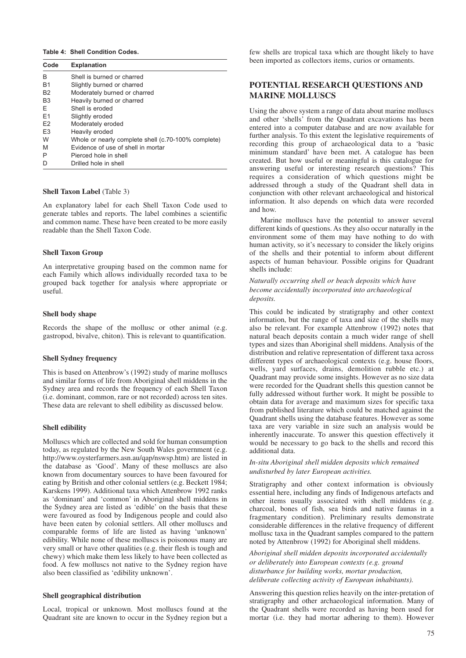#### **Table 4: Shell Condition Codes.**

| Code           | <b>Explanation</b>                                  |
|----------------|-----------------------------------------------------|
| в              | Shell is burned or charred                          |
| <b>B1</b>      | Slightly burned or charred                          |
| B <sub>2</sub> | Moderately burned or charred                        |
| B <sub>3</sub> | Heavily burned or charred                           |
| F.             | Shell is eroded                                     |
| F <sub>1</sub> | Slightly eroded                                     |
| E <sub>2</sub> | Moderately eroded                                   |
| E <sub>3</sub> | Heavily eroded                                      |
| W              | Whole or nearly complete shell (c.70-100% complete) |
| M              | Evidence of use of shell in mortar                  |
| P              | Pierced hole in shell                               |
|                | Drilled hole in shell                               |

## **Shell Taxon Label** (Table 3)

An explanatory label for each Shell Taxon Code used to generate tables and reports. The label combines a scientific and common name. These have been created to be more easily readable than the Shell Taxon Code.

#### **Shell Taxon Group**

An interpretative grouping based on the common name for each Family which allows individually recorded taxa to be grouped back together for analysis where appropriate or useful.

#### **Shell body shape**

Records the shape of the mollusc or other animal (e.g. gastropod, bivalve, chiton). This is relevant to quantification.

#### **Shell Sydney frequency**

This is based on Attenbrow's (1992) study of marine molluscs and similar forms of life from Aboriginal shell middens in the Sydney area and records the frequency of each Shell Taxon (i.e. dominant, common, rare or not recorded) across ten sites. These data are relevant to shell edibility as discussed below.

#### **Shell edibility**

Molluscs which are collected and sold for human consumption today, as regulated by the New South Wales government (e.g. http://www.oysterfarmers.asn.au/qap/nswsp.htm) are listed in the database as 'Good'. Many of these molluscs are also known from documentary sources to have been favoured for eating by British and other colonial settlers (e.g. Beckett 1984; Karskens 1999). Additional taxa which Attenbrow 1992 ranks as 'dominant' and 'common' in Aboriginal shell middens in the Sydney area are listed as 'edible' on the basis that these were favoured as food by Indigenous people and could also have been eaten by colonial settlers. All other molluscs and comparable forms of life are listed as having 'unknown' edibility. While none of these molluscs is poisonous many are very small or have other qualities (e.g. their flesh is tough and chewy) which make them less likely to have been collected as food. A few molluscs not native to the Sydney region have also been classified as 'edibility unknown'.

#### **Shell geographical distribution**

Local, tropical or unknown. Most molluscs found at the Quadrant site are known to occur in the Sydney region but a

few shells are tropical taxa which are thought likely to have been imported as collectors items, curios or ornaments.

## **POTENTIAL RESEARCH QUESTIONS AND MARINE MOLLUSCS**

Using the above system a range of data about marine molluscs and other 'shells' from the Quadrant excavations has been entered into a computer database and are now available for further analysis. To this extent the legislative requirements of recording this group of archaeological data to a 'basic minimum standard' have been met. A catalogue has been created. But how useful or meaningful is this catalogue for answering useful or interesting research questions? This requires a consideration of which questions might be addressed through a study of the Quadrant shell data in conjunction with other relevant archaeological and historical information. It also depends on which data were recorded and how.

Marine molluscs have the potential to answer several different kinds of questions. As they also occur naturally in the environment some of them may have nothing to do with human activity, so it's necessary to consider the likely origins of the shells and their potential to inform about different aspects of human behaviour. Possible origins for Quadrant shells include:

*Naturally occurring shell or beach deposits which have become accidentally incorporated into archaeological deposits.* 

This could be indicated by stratigraphy and other context information, but the range of taxa and size of the shells may also be relevant. For example Attenbrow (1992) notes that natural beach deposits contain a much wider range of shell types and sizes than Aboriginal shell middens. Analysis of the distribution and relative representation of different taxa across different types of archaeological contexts (e.g. house floors, wells, yard surfaces, drains, demolition rubble etc.) at Quadrant may provide some insights. However as no size data were recorded for the Quadrant shells this question cannot be fully addressed without further work. It might be possible to obtain data for average and maximum sizes for specific taxa from published literature which could be matched against the Quadrant shells using the database features. However as some taxa are very variable in size such an analysis would be inherently inaccurate. To answer this question effectively it would be necessary to go back to the shells and record this additional data.

## *In-situ Aboriginal shell midden deposits which remained undisturbed by later European activities.*

Stratigraphy and other context information is obviously essential here, including any finds of Indigenous artefacts and other items usually associated with shell middens (e.g. charcoal, bones of fish, sea birds and native faunas in a fragmentary condition). Preliminary results demonstrate considerable differences in the relative frequency of different mollusc taxa in the Quadrant samples compared to the pattern noted by Attenbrow (1992) for Aboriginal shell middens.

*Aboriginal shell midden deposits incorporated accidentally or deliberately into European contexts (e.g. ground disturbance for building works, mortar production, deliberate collecting activity of European inhabitants).* 

Answering this question relies heavily on the inter-pretation of stratigraphy and other archaeological information. Many of the Quadrant shells were recorded as having been used for mortar (i.e. they had mortar adhering to them). However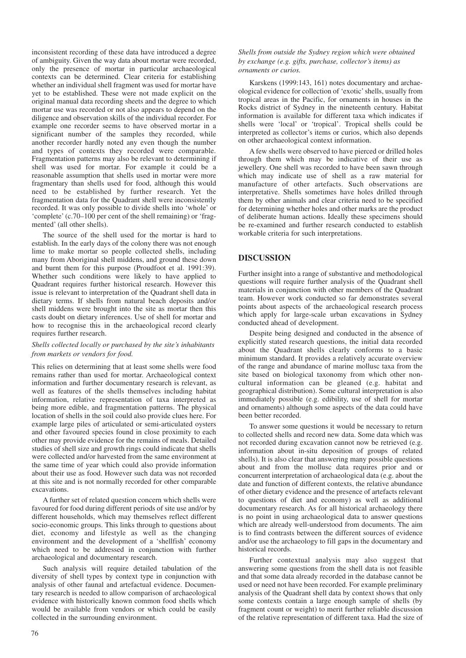inconsistent recording of these data have introduced a degree of ambiguity. Given the way data about mortar were recorded, only the presence of mortar in particular archaeological contexts can be determined. Clear criteria for establishing whether an individual shell fragment was used for mortar have yet to be established. These were not made explicit on the original manual data recording sheets and the degree to which mortar use was recorded or not also appears to depend on the diligence and observation skills of the individual recorder. For example one recorder seems to have observed mortar in a significant number of the samples they recorded, while another recorder hardly noted any even though the number and types of contexts they recorded were comparable. Fragmentation patterns may also be relevant to determining if shell was used for mortar. For example it could be a reasonable assumption that shells used in mortar were more fragmentary than shells used for food, although this would need to be established by further research. Yet the fragmentation data for the Quadrant shell were inconsistently recorded. It was only possible to divide shells into 'whole' or 'complete' (c.70–100 per cent of the shell remaining) or 'fragmented' (all other shells).

The source of the shell used for the mortar is hard to establish. In the early days of the colony there was not enough lime to make mortar so people collected shells, including many from Aboriginal shell middens, and ground these down and burnt them for this purpose (Proudfoot et al. 1991:39). Whether such conditions were likely to have applied to Quadrant requires further historical research. However this issue is relevant to interpretation of the Quadrant shell data in dietary terms. If shells from natural beach deposits and/or shell middens were brought into the site as mortar then this casts doubt on dietary inferences. Use of shell for mortar and how to recognise this in the archaeological record clearly requires further research.

## *Shells collected locally or purchased by the site's inhabitants from markets or vendors for food.*

This relies on determining that at least some shells were food remains rather than used for mortar. Archaeological context information and further documentary research is relevant, as well as features of the shells themselves including habitat information, relative representation of taxa interpreted as being more edible, and fragmentation patterns. The physical location of shells in the soil could also provide clues here. For example large piles of articulated or semi-articulated oysters and other favoured species found in close proximity to each other may provide evidence for the remains of meals. Detailed studies of shell size and growth rings could indicate that shells were collected and/or harvested from the same environment at the same time of year which could also provide information about their use as food. However such data was not recorded at this site and is not normally recorded for other comparable excavations.

A further set of related question concern which shells were favoured for food during different periods of site use and/or by different households, which may themselves reflect different socio-economic groups. This links through to questions about diet, economy and lifestyle as well as the changing environment and the development of a 'shellfish' economy which need to be addressed in conjunction with further archaeological and documentary research.

Such analysis will require detailed tabulation of the diversity of shell types by context type in conjunction with analysis of other faunal and artefactual evidence. Documentary research is needed to allow comparison of archaeological evidence with historically known common food shells which would be available from vendors or which could be easily collected in the surrounding environment.

*Shells from outside the Sydney region which were obtained by exchange (e.g. gifts, purchase, collector's items) as ornaments or curios.* 

Karskens (1999:143, 161) notes documentary and archaeological evidence for collection of 'exotic' shells, usually from tropical areas in the Pacific, for ornaments in houses in the Rocks district of Sydney in the nineteenth century. Habitat information is available for different taxa which indicates if shells were 'local' or 'tropical'. Tropical shells could be interpreted as collector's items or curios, which also depends on other archaeological context information.

A few shells were observed to have pierced or drilled holes through them which may be indicative of their use as jewellery. One shell was recorded to have been sawn through which may indicate use of shell as a raw material for manufacture of other artefacts. Such observations are interpretative. Shells sometimes have holes drilled through them by other animals and clear criteria need to be specified for determining whether holes and other marks are the product of deliberate human actions. Ideally these specimens should be re-examined and further research conducted to establish workable criteria for such interpretations.

# **DISCUSSION**

Further insight into a range of substantive and methodological questions will require further analysis of the Quadrant shell materials in conjunction with other members of the Quadrant team. However work conducted so far demonstrates several points about aspects of the archaeological research process which apply for large-scale urban excavations in Sydney conducted ahead of development.

Despite being designed and conducted in the absence of explicitly stated research questions, the initial data recorded about the Quadrant shells clearly conforms to a basic minimum standard. It provides a relatively accurate overview of the range and abundance of marine mollusc taxa from the site based on biological taxonomy from which other noncultural information can be gleaned (e.g. habitat and geographical distribution). Some cultural interpretation is also immediately possible (e.g. edibility, use of shell for mortar and ornaments) although some aspects of the data could have been better recorded.

To answer some questions it would be necessary to return to collected shells and record new data. Some data which was not recorded during excavation cannot now be retrieved (e.g. information about in-situ deposition of groups of related shells). It is also clear that answering many possible questions about and from the mollusc data requires prior and or concurrent interpretation of archaeological data (e.g. about the date and function of different contexts, the relative abundance of other dietary evidence and the presence of artefacts relevant to questions of diet and economy) as well as additional documentary research. As for all historical archaeology there is no point in using archaeological data to answer questions which are already well-understood from documents. The aim is to find contrasts between the different sources of evidence and/or use the archaeology to fill gaps in the documentary and historical records.

Further contextual analysis may also suggest that answering some questions from the shell data is not feasible and that some data already recorded in the database cannot be used or need not have been recorded. For example preliminary analysis of the Quadrant shell data by context shows that only some contexts contain a large enough sample of shells (by fragment count or weight) to merit further reliable discussion of the relative representation of different taxa. Had the size of